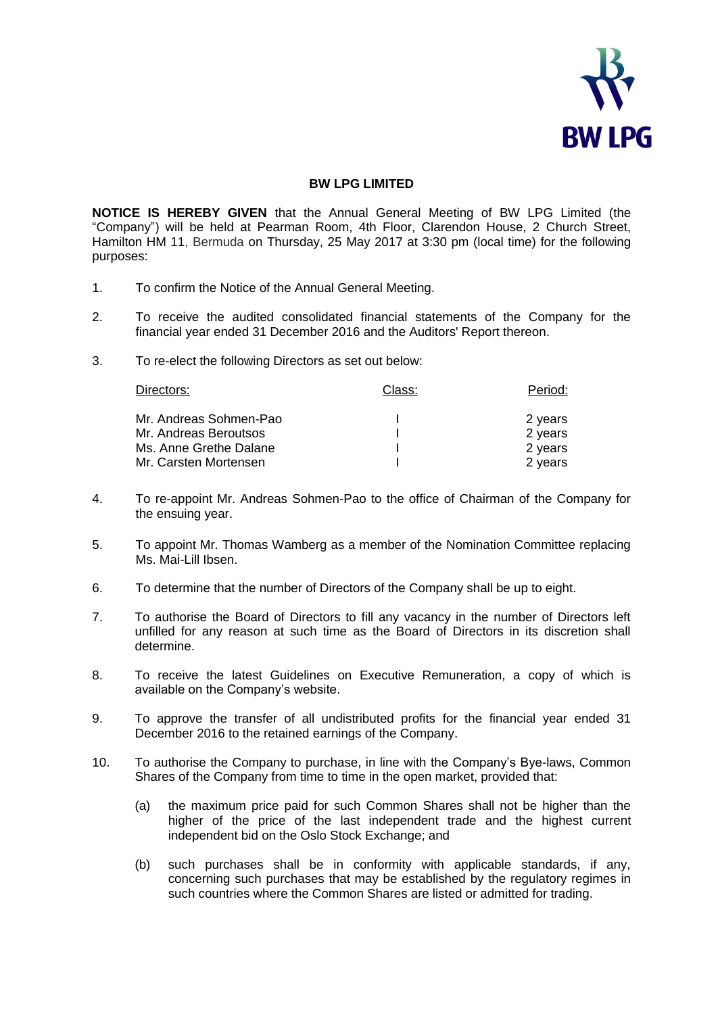

## **BW LPG LIMITED**

**NOTICE IS HEREBY GIVEN** that the Annual General Meeting of BW LPG Limited (the "Company") will be held at Pearman Room, 4th Floor, Clarendon House, 2 Church Street, Hamilton HM 11, Bermuda on Thursday, 25 May 2017 at 3:30 pm (local time) for the following purposes:

- 1. To confirm the Notice of the Annual General Meeting.
- 2. To receive the audited consolidated financial statements of the Company for the financial year ended 31 December 2016 and the Auditors' Report thereon.
- 3. To re-elect the following Directors as set out below:

| Directors:             | Class: | Period: |
|------------------------|--------|---------|
| Mr. Andreas Sohmen-Pao |        | 2 years |
| Mr. Andreas Beroutsos  |        | 2 years |
| Ms. Anne Grethe Dalane |        | 2 years |
| Mr. Carsten Mortensen  |        | 2 years |

- 4. To re-appoint Mr. Andreas Sohmen-Pao to the office of Chairman of the Company for the ensuing year.
- 5. To appoint Mr. Thomas Wamberg as a member of the Nomination Committee replacing Ms. Mai-Lill Ibsen.
- 6. To determine that the number of Directors of the Company shall be up to eight.
- 7. To authorise the Board of Directors to fill any vacancy in the number of Directors left unfilled for any reason at such time as the Board of Directors in its discretion shall determine.
- 8. To receive the latest Guidelines on Executive Remuneration, a copy of which is available on the Company's website.
- 9. To approve the transfer of all undistributed profits for the financial year ended 31 December 2016 to the retained earnings of the Company.
- 10. To authorise the Company to purchase, in line with the Company's Bye-laws, Common Shares of the Company from time to time in the open market, provided that:
	- (a) the maximum price paid for such Common Shares shall not be higher than the higher of the price of the last independent trade and the highest current independent bid on the Oslo Stock Exchange; and
	- (b) such purchases shall be in conformity with applicable standards, if any, concerning such purchases that may be established by the regulatory regimes in such countries where the Common Shares are listed or admitted for trading.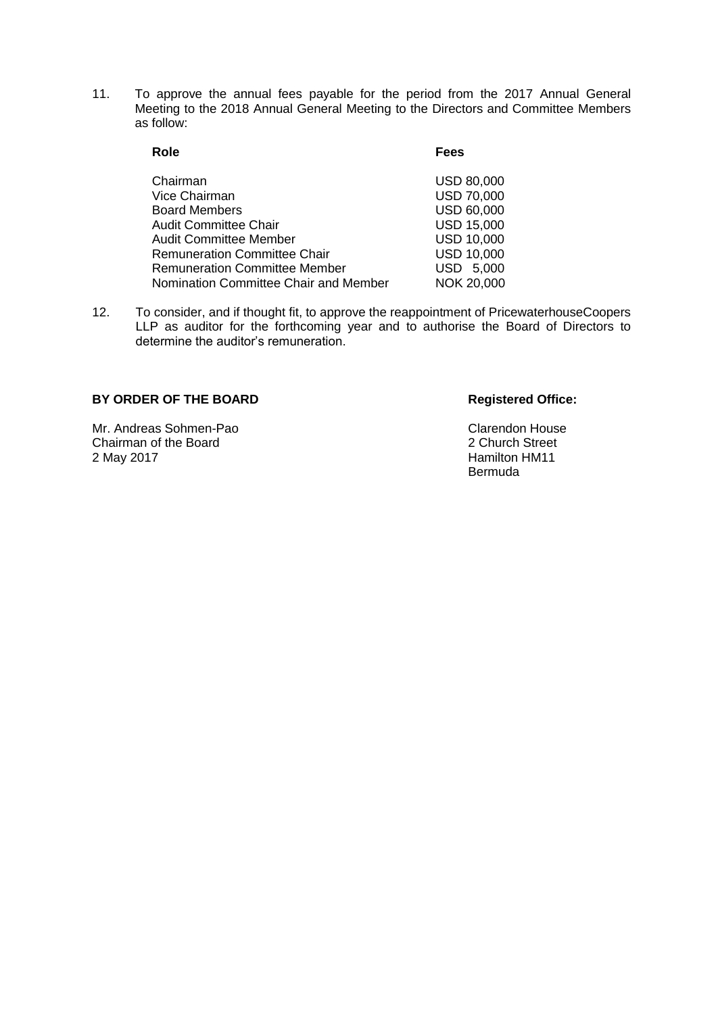11. To approve the annual fees payable for the period from the 2017 Annual General Meeting to the 2018 Annual General Meeting to the Directors and Committee Members as follow:

| Role                                  | <b>Fees</b>       |
|---------------------------------------|-------------------|
| Chairman                              | <b>USD 80,000</b> |
| Vice Chairman                         | <b>USD 70,000</b> |
| <b>Board Members</b>                  | USD 60,000        |
| <b>Audit Committee Chair</b>          | <b>USD 15,000</b> |
| <b>Audit Committee Member</b>         | <b>USD 10,000</b> |
| <b>Remuneration Committee Chair</b>   | <b>USD 10,000</b> |
| <b>Remuneration Committee Member</b>  | USD 5,000         |
| Nomination Committee Chair and Member | NOK 20,000        |

12. To consider, and if thought fit, to approve the reappointment of PricewaterhouseCoopers LLP as auditor for the forthcoming year and to authorise the Board of Directors to determine the auditor's remuneration.

## BY ORDER OF THE BOARD Registered Office:

Mr. Andreas Sohmen-Pao Clarendon House Chairman of the Board<br>
2 May 2017<br>
2 May 2017<br>
2 Mamilton HM11

Hamilton HM11 Bermuda